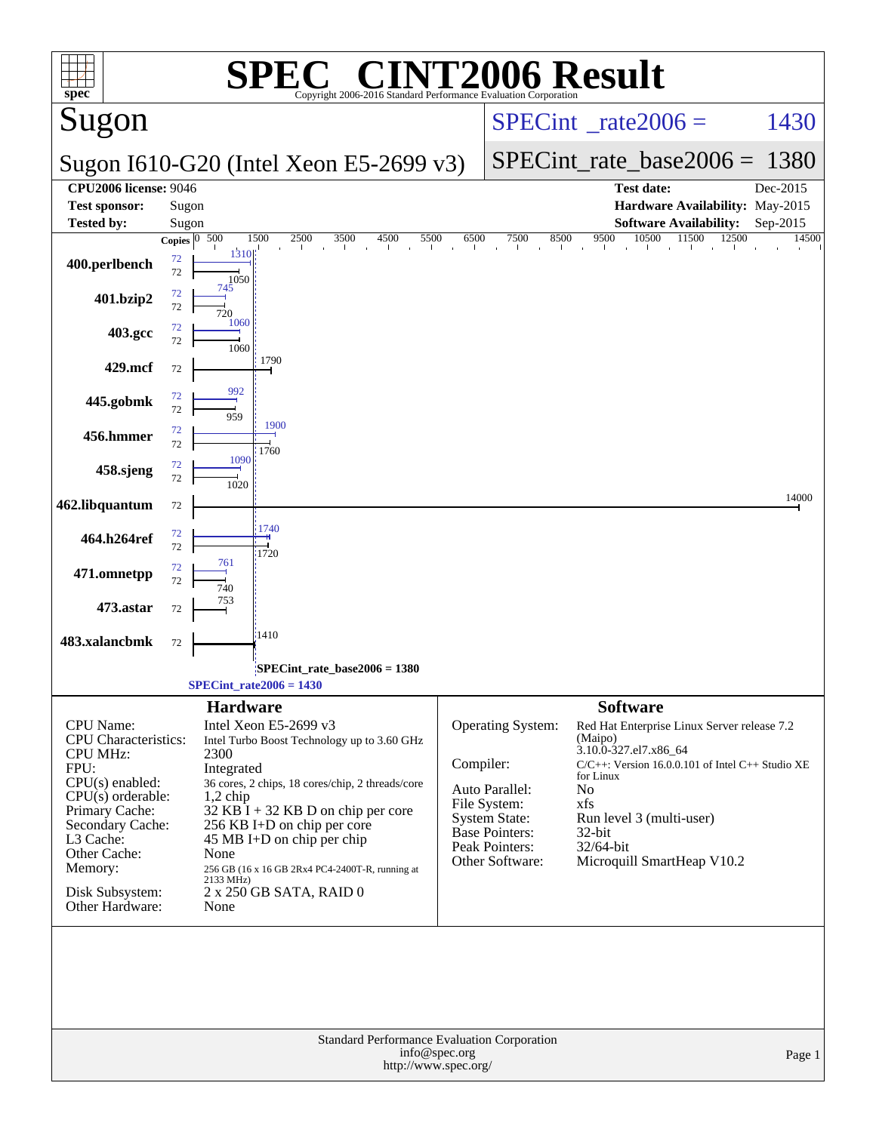| $s\overline{\text{pec}^*}$                     | $\mathbf{P}(\mathbb{R})$<br>Copyright 2006-2016 Standard Performance Evaluation Corporation             | <b>NT2006 Result</b>                                                                                                       |
|------------------------------------------------|---------------------------------------------------------------------------------------------------------|----------------------------------------------------------------------------------------------------------------------------|
| Sugon                                          |                                                                                                         | $SPECint^{\circ}$ <sub>_rate2006</sub> =<br>1430                                                                           |
|                                                | Sugon I610-G20 (Intel Xeon E5-2699 v3)                                                                  | $SPECint_rate\_base2006 =$<br>1380                                                                                         |
| <b>CPU2006 license: 9046</b>                   |                                                                                                         | <b>Test date:</b><br>Dec-2015                                                                                              |
| <b>Test sponsor:</b>                           | Sugon                                                                                                   | Hardware Availability: May-2015                                                                                            |
| <b>Tested by:</b>                              | Sugon                                                                                                   | <b>Software Availability:</b><br>Sep-2015                                                                                  |
| 400.perlbench                                  | Copies $\boxed{0.500}$<br>1500<br>2500<br>$\overline{3500}$<br>4500<br>5500<br>1310<br>72<br>72<br>1050 | 9500<br>10500<br>6500<br>7500<br>8500<br>11500<br>12500<br>14500<br>and the con-<br>the distribution of the control of the |
| 401.bzip2                                      | 745<br>72<br>72                                                                                         |                                                                                                                            |
| 403.gcc                                        | 1060<br>72<br>72<br>1060                                                                                |                                                                                                                            |
| 429.mcf                                        | 1790<br>72                                                                                              |                                                                                                                            |
| 445.gobmk                                      | 992<br>72<br>72<br>1900                                                                                 |                                                                                                                            |
| 456.hmmer                                      | 72<br>72<br>1760<br>1090                                                                                |                                                                                                                            |
| 458.sjeng                                      | 72<br>72<br>1020                                                                                        | 14000                                                                                                                      |
| 462.libquantum                                 | 72<br>1740<br>72                                                                                        |                                                                                                                            |
| 464.h264ref<br>471.omnetpp                     | 72<br>1720<br>761<br>72                                                                                 |                                                                                                                            |
| 473.astar                                      | 72<br>72                                                                                                |                                                                                                                            |
| 483.xalancbmk                                  | 1410<br>72                                                                                              |                                                                                                                            |
|                                                | SPECint_rate_base2006 = 1380                                                                            |                                                                                                                            |
|                                                | $SPECint_rate2006 = 1430$                                                                               |                                                                                                                            |
|                                                | <b>Hardware</b>                                                                                         | <b>Software</b>                                                                                                            |
| CPU Name:                                      | Intel Xeon E5-2699 v3                                                                                   | <b>Operating System:</b><br>Red Hat Enterprise Linux Server release 7.2                                                    |
| <b>CPU</b> Characteristics:<br><b>CPU MHz:</b> | Intel Turbo Boost Technology up to 3.60 GHz<br>2300                                                     | (Maipo)<br>3.10.0-327.el7.x86_64                                                                                           |
| FPU:                                           | Integrated                                                                                              | Compiler:<br>$C/C++$ : Version 16.0.0.101 of Intel $C++$ Studio XE<br>for Linux                                            |
| $CPU(s)$ enabled:<br>$CPU(s)$ orderable:       | 36 cores, 2 chips, 18 cores/chip, 2 threads/core<br>$1,2$ chip                                          | Auto Parallel:<br>No                                                                                                       |
| Primary Cache:                                 | $32$ KB I + 32 KB D on chip per core                                                                    | File System:<br>xfs<br><b>System State:</b><br>Run level 3 (multi-user)                                                    |
| Secondary Cache:<br>L3 Cache:                  | 256 KB I+D on chip per core                                                                             | <b>Base Pointers:</b><br>32-bit                                                                                            |
| Other Cache:                                   | 45 MB I+D on chip per chip<br>None                                                                      | Peak Pointers:<br>32/64-bit                                                                                                |
| Memory:                                        | 256 GB (16 x 16 GB 2Rx4 PC4-2400T-R, running at<br>2133 MHz)                                            | Microquill SmartHeap V10.2<br>Other Software:                                                                              |
| Disk Subsystem:<br>Other Hardware:             | 2 x 250 GB SATA, RAID 0<br>None                                                                         |                                                                                                                            |
|                                                | Standard Performance Evaluation Corporation                                                             |                                                                                                                            |
|                                                | info@spec.org<br>http://www.spec.org/                                                                   | Page 1                                                                                                                     |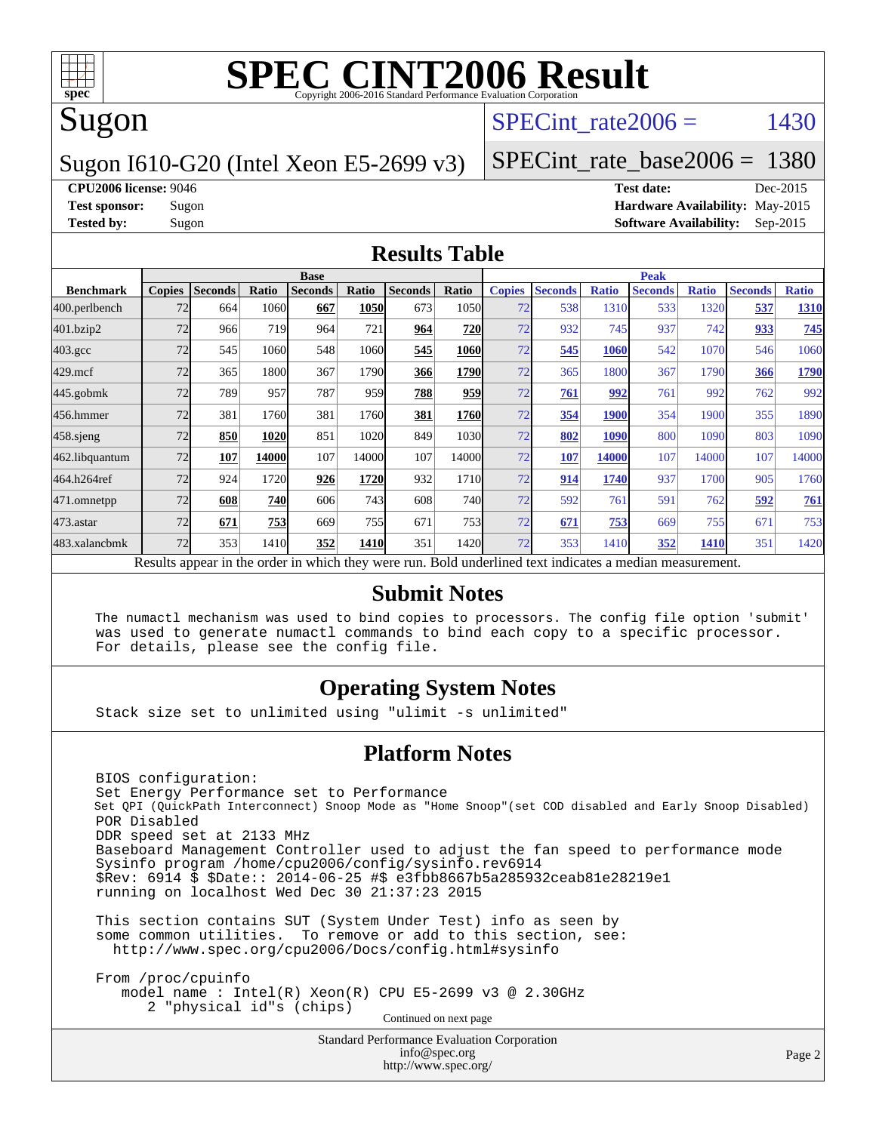

### Sugon

#### SPECint rate  $2006 = 1430$

#### Sugon I610-G20 (Intel Xeon E5-2699 v3)

[SPECint\\_rate\\_base2006 =](http://www.spec.org/auto/cpu2006/Docs/result-fields.html#SPECintratebase2006) 1380

**[CPU2006 license:](http://www.spec.org/auto/cpu2006/Docs/result-fields.html#CPU2006license)** 9046 **[Test date:](http://www.spec.org/auto/cpu2006/Docs/result-fields.html#Testdate)** Dec-2015 **[Test sponsor:](http://www.spec.org/auto/cpu2006/Docs/result-fields.html#Testsponsor)** Sugon **[Hardware Availability:](http://www.spec.org/auto/cpu2006/Docs/result-fields.html#HardwareAvailability)** May-2015 **[Tested by:](http://www.spec.org/auto/cpu2006/Docs/result-fields.html#Testedby)** Sugon **[Software Availability:](http://www.spec.org/auto/cpu2006/Docs/result-fields.html#SoftwareAvailability)** Sep-2015

#### **[Results Table](http://www.spec.org/auto/cpu2006/Docs/result-fields.html#ResultsTable)**

|                                                                                                          | <b>Base</b>   |                |       |                |       |                |            | <b>Peak</b>   |                |              |                |              |                |              |
|----------------------------------------------------------------------------------------------------------|---------------|----------------|-------|----------------|-------|----------------|------------|---------------|----------------|--------------|----------------|--------------|----------------|--------------|
| <b>Benchmark</b>                                                                                         | <b>Copies</b> | <b>Seconds</b> | Ratio | <b>Seconds</b> | Ratio | <b>Seconds</b> | Ratio      | <b>Copies</b> | <b>Seconds</b> | <b>Ratio</b> | <b>Seconds</b> | <b>Ratio</b> | <b>Seconds</b> | <b>Ratio</b> |
| 400.perlbench                                                                                            | 72            | 664            | 1060  | 667            | 1050  | 673            | 1050       | 72            | 538            | 1310         | 533            | 1320         | 537            | <b>1310</b>  |
| 401.bzip2                                                                                                | 72            | 966            | 719   | 964            | 721   | 964            | 720        | 72            | 932            | 745          | 937            | 742          | 933            | 745          |
| $403.\text{gcc}$                                                                                         | 72            | 545            | 1060  | 548            | 1060  | 545            | 1060       | 72            | 545            | 1060         | 542            | 1070         | 546            | 1060         |
| $429$ .mcf                                                                                               | 72            | 365            | 1800  | 367            | 1790  | 366            | 1790       | 72            | 365            | 1800         | 367            | 1790         | 366            | 1790         |
| $445$ .gobm $k$                                                                                          | 72            | 789            | 957   | 787            | 959   | 788            | 959        | 72            | 761            | 992          | 761            | 992          | 762            | 992          |
| 456.hmmer                                                                                                | 72            | 381            | 1760  | 381            | 1760  | 381            | 1760       | 72            | 354            | 1900         | 354            | 1900         | 355            | 1890         |
| $458$ .sjeng                                                                                             | 72            | 850            | 1020  | 851            | 1020  | 849            | 1030       | 72            | 802            | 1090         | 800            | 1090         | 803            | 1090         |
| 462.libquantum                                                                                           | 72            | 107            | 14000 | 107            | 14000 | 107            | 14000      | 72            | 107            | 14000        | 107            | 14000        | 107            | 14000        |
| 464.h264ref                                                                                              | 72            | 924            | 1720  | 926            | 1720  | 932            | 1710       | 72            | 914            | 1740         | 937            | 1700         | 905            | 1760         |
| 471.omnetpp                                                                                              | 72            | 608            | 740   | 606            | 743   | 608            | <b>740</b> | 72            | 592            | 761          | 591            | 762          | 592            | 761          |
| 473.astar                                                                                                | 72            | 671            | 753   | 669            | 755   | 671            | 753        | 72            | 671            | 753          | 669            | 755          | 671            | 753          |
| 483.xalancbmk                                                                                            | 72            | 353            | 1410  | 352            | 1410  | 351            | 1420       | 72            | 353            | 1410         | 352            | 1410         | 351            | 1420         |
| Results appear in the order in which they were run. Bold underlined text indicates a median measurement. |               |                |       |                |       |                |            |               |                |              |                |              |                |              |

#### **[Submit Notes](http://www.spec.org/auto/cpu2006/Docs/result-fields.html#SubmitNotes)**

 The numactl mechanism was used to bind copies to processors. The config file option 'submit' was used to generate numactl commands to bind each copy to a specific processor. For details, please see the config file.

#### **[Operating System Notes](http://www.spec.org/auto/cpu2006/Docs/result-fields.html#OperatingSystemNotes)**

Stack size set to unlimited using "ulimit -s unlimited"

#### **[Platform Notes](http://www.spec.org/auto/cpu2006/Docs/result-fields.html#PlatformNotes)**

 BIOS configuration: Set Energy Performance set to Performance Set QPI (QuickPath Interconnect) Snoop Mode as "Home Snoop"(set COD disabled and Early Snoop Disabled) POR Disabled DDR speed set at 2133 MHz Baseboard Management Controller used to adjust the fan speed to performance mode Sysinfo program /home/cpu2006/config/sysinfo.rev6914 \$Rev: 6914 \$ \$Date:: 2014-06-25 #\$ e3fbb8667b5a285932ceab81e28219e1 running on localhost Wed Dec 30 21:37:23 2015

 This section contains SUT (System Under Test) info as seen by some common utilities. To remove or add to this section, see: <http://www.spec.org/cpu2006/Docs/config.html#sysinfo>

 From /proc/cpuinfo model name : Intel(R) Xeon(R) CPU E5-2699 v3 @ 2.30GHz 2 "physical id"s (chips) Continued on next page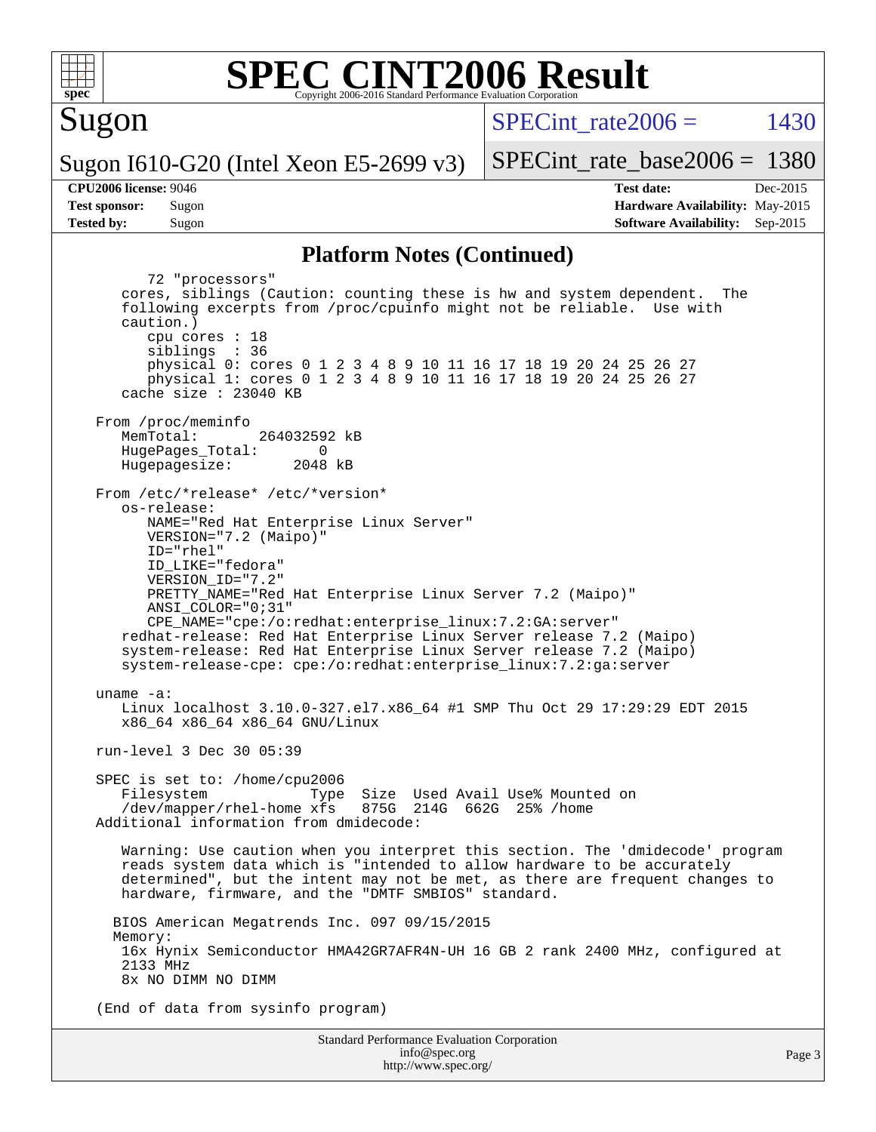

#### **[SPEC CINT2006 Result](http://www.spec.org/auto/cpu2006/Docs/result-fields.html#SPECCINT2006Result)** Copyright 2006-2016 Standard Performance Evaluation C

Sugon

SPECint rate  $2006 = 1430$ 

Sugon I610-G20 (Intel Xeon E5-2699 v3)

**[Tested by:](http://www.spec.org/auto/cpu2006/Docs/result-fields.html#Testedby)** Sugon **[Software Availability:](http://www.spec.org/auto/cpu2006/Docs/result-fields.html#SoftwareAvailability)** Sep-2015

[SPECint\\_rate\\_base2006 =](http://www.spec.org/auto/cpu2006/Docs/result-fields.html#SPECintratebase2006) 1380 **[CPU2006 license:](http://www.spec.org/auto/cpu2006/Docs/result-fields.html#CPU2006license)** 9046 **[Test date:](http://www.spec.org/auto/cpu2006/Docs/result-fields.html#Testdate)** Dec-2015 **[Test sponsor:](http://www.spec.org/auto/cpu2006/Docs/result-fields.html#Testsponsor)** Sugon **[Hardware Availability:](http://www.spec.org/auto/cpu2006/Docs/result-fields.html#HardwareAvailability)** May-2015

#### **[Platform Notes \(Continued\)](http://www.spec.org/auto/cpu2006/Docs/result-fields.html#PlatformNotes)**

Standard Performance Evaluation Corporation 72 "processors" cores, siblings (Caution: counting these is hw and system dependent. The following excerpts from /proc/cpuinfo might not be reliable. Use with caution.) cpu cores : 18 siblings : 36 physical 0: cores 0 1 2 3 4 8 9 10 11 16 17 18 19 20 24 25 26 27 physical 1: cores 0 1 2 3 4 8 9 10 11 16 17 18 19 20 24 25 26 27 cache size : 23040 KB From /proc/meminfo<br>MemTotal: 264032592 kB HugePages\_Total: 0<br>Hugepagesize: 2048 kB Hugepagesize: From /etc/\*release\* /etc/\*version\* os-release: NAME="Red Hat Enterprise Linux Server" VERSION="7.2 (Maipo)" ID="rhel" ID\_LIKE="fedora" VERSION\_ID="7.2" PRETTY\_NAME="Red Hat Enterprise Linux Server 7.2 (Maipo)" ANSI\_COLOR="0;31" CPE\_NAME="cpe:/o:redhat:enterprise\_linux:7.2:GA:server" redhat-release: Red Hat Enterprise Linux Server release 7.2 (Maipo) system-release: Red Hat Enterprise Linux Server release 7.2 (Maipo) system-release-cpe: cpe:/o:redhat:enterprise\_linux:7.2:ga:server uname -a: Linux localhost 3.10.0-327.el7.x86\_64 #1 SMP Thu Oct 29 17:29:29 EDT 2015 x86\_64 x86\_64 x86\_64 GNU/Linux run-level 3 Dec 30 05:39 SPEC is set to: /home/cpu2006 Filesystem Type Size Used Avail Use% Mounted on<br>/dev/mapper/rhel-home xfs 875G 214G 662G 25% /home  $/$ dev/mapper/rhel-home  $x$ fs Additional information from dmidecode: Warning: Use caution when you interpret this section. The 'dmidecode' program reads system data which is "intended to allow hardware to be accurately determined", but the intent may not be met, as there are frequent changes to hardware, firmware, and the "DMTF SMBIOS" standard. BIOS American Megatrends Inc. 097 09/15/2015 Memory: 16x Hynix Semiconductor HMA42GR7AFR4N-UH 16 GB 2 rank 2400 MHz, configured at 2133 MHz 8x NO DIMM NO DIMM (End of data from sysinfo program)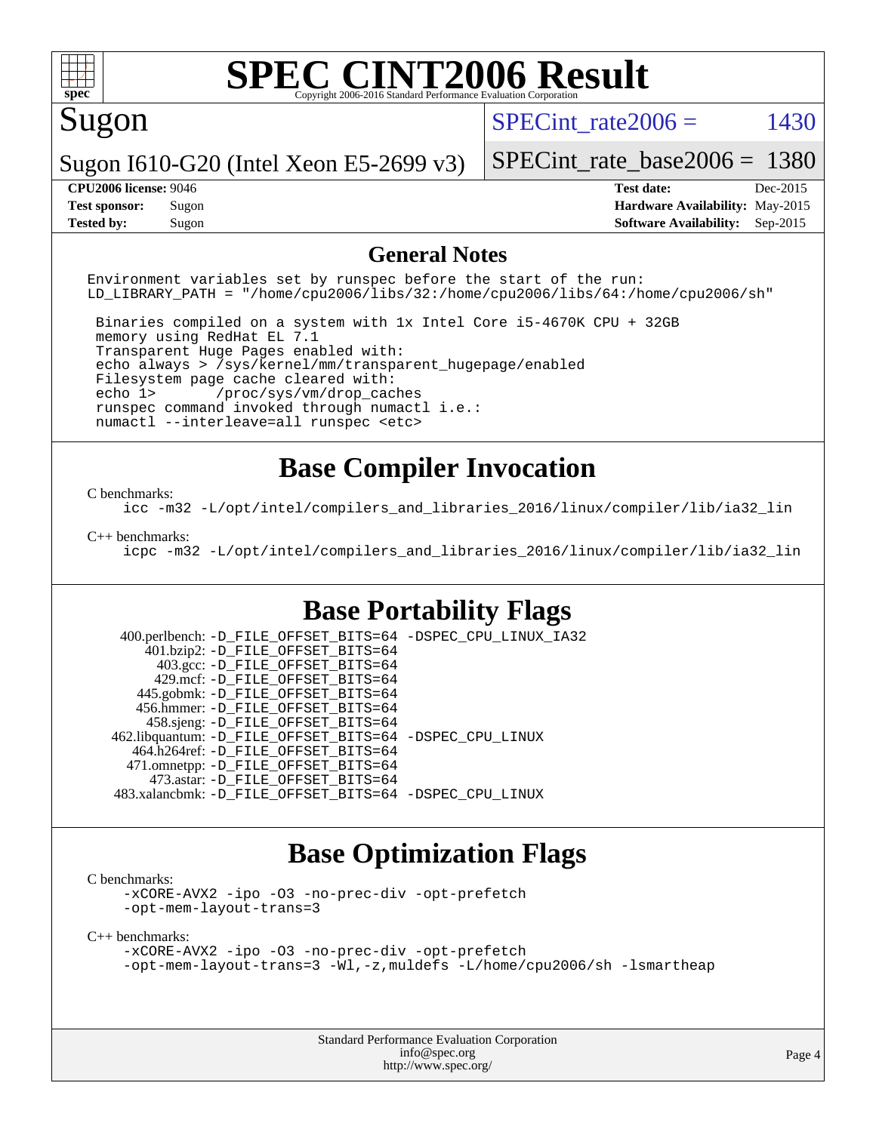

#### Sugon

SPECint rate  $2006 = 1430$ 

Sugon I610-G20 (Intel Xeon E5-2699 v3)

[SPECint\\_rate\\_base2006 =](http://www.spec.org/auto/cpu2006/Docs/result-fields.html#SPECintratebase2006) 1380

**[CPU2006 license:](http://www.spec.org/auto/cpu2006/Docs/result-fields.html#CPU2006license)** 9046 **[Test date:](http://www.spec.org/auto/cpu2006/Docs/result-fields.html#Testdate)** Dec-2015 **[Test sponsor:](http://www.spec.org/auto/cpu2006/Docs/result-fields.html#Testsponsor)** Sugon **[Hardware Availability:](http://www.spec.org/auto/cpu2006/Docs/result-fields.html#HardwareAvailability)** May-2015 **[Tested by:](http://www.spec.org/auto/cpu2006/Docs/result-fields.html#Testedby)** Sugon **[Software Availability:](http://www.spec.org/auto/cpu2006/Docs/result-fields.html#SoftwareAvailability)** Sep-2015

#### **[General Notes](http://www.spec.org/auto/cpu2006/Docs/result-fields.html#GeneralNotes)**

Environment variables set by runspec before the start of the run: LD LIBRARY PATH = "/home/cpu2006/libs/32:/home/cpu2006/libs/64:/home/cpu2006/sh"

 Binaries compiled on a system with 1x Intel Core i5-4670K CPU + 32GB memory using RedHat EL 7.1 Transparent Huge Pages enabled with: echo always > /sys/kernel/mm/transparent\_hugepage/enabled Filesystem page cache cleared with: echo 1> /proc/sys/vm/drop\_caches runspec command invoked through numactl i.e.: numactl --interleave=all runspec <etc>

#### **[Base Compiler Invocation](http://www.spec.org/auto/cpu2006/Docs/result-fields.html#BaseCompilerInvocation)**

#### [C benchmarks](http://www.spec.org/auto/cpu2006/Docs/result-fields.html#Cbenchmarks):

[icc -m32 -L/opt/intel/compilers\\_and\\_libraries\\_2016/linux/compiler/lib/ia32\\_lin](http://www.spec.org/cpu2006/results/res2016q1/cpu2006-20160103-38543.flags.html#user_CCbase_intel_icc_e10256ba5924b668798078a321b0cb3f)

#### [C++ benchmarks:](http://www.spec.org/auto/cpu2006/Docs/result-fields.html#CXXbenchmarks)

[icpc -m32 -L/opt/intel/compilers\\_and\\_libraries\\_2016/linux/compiler/lib/ia32\\_lin](http://www.spec.org/cpu2006/results/res2016q1/cpu2006-20160103-38543.flags.html#user_CXXbase_intel_icpc_b4f50a394bdb4597aa5879c16bc3f5c5)

#### **[Base Portability Flags](http://www.spec.org/auto/cpu2006/Docs/result-fields.html#BasePortabilityFlags)**

 400.perlbench: [-D\\_FILE\\_OFFSET\\_BITS=64](http://www.spec.org/cpu2006/results/res2016q1/cpu2006-20160103-38543.flags.html#user_basePORTABILITY400_perlbench_file_offset_bits_64_438cf9856305ebd76870a2c6dc2689ab) [-DSPEC\\_CPU\\_LINUX\\_IA32](http://www.spec.org/cpu2006/results/res2016q1/cpu2006-20160103-38543.flags.html#b400.perlbench_baseCPORTABILITY_DSPEC_CPU_LINUX_IA32) 401.bzip2: [-D\\_FILE\\_OFFSET\\_BITS=64](http://www.spec.org/cpu2006/results/res2016q1/cpu2006-20160103-38543.flags.html#user_basePORTABILITY401_bzip2_file_offset_bits_64_438cf9856305ebd76870a2c6dc2689ab) 403.gcc: [-D\\_FILE\\_OFFSET\\_BITS=64](http://www.spec.org/cpu2006/results/res2016q1/cpu2006-20160103-38543.flags.html#user_basePORTABILITY403_gcc_file_offset_bits_64_438cf9856305ebd76870a2c6dc2689ab) 429.mcf: [-D\\_FILE\\_OFFSET\\_BITS=64](http://www.spec.org/cpu2006/results/res2016q1/cpu2006-20160103-38543.flags.html#user_basePORTABILITY429_mcf_file_offset_bits_64_438cf9856305ebd76870a2c6dc2689ab) 445.gobmk: [-D\\_FILE\\_OFFSET\\_BITS=64](http://www.spec.org/cpu2006/results/res2016q1/cpu2006-20160103-38543.flags.html#user_basePORTABILITY445_gobmk_file_offset_bits_64_438cf9856305ebd76870a2c6dc2689ab) 456.hmmer: [-D\\_FILE\\_OFFSET\\_BITS=64](http://www.spec.org/cpu2006/results/res2016q1/cpu2006-20160103-38543.flags.html#user_basePORTABILITY456_hmmer_file_offset_bits_64_438cf9856305ebd76870a2c6dc2689ab) 458.sjeng: [-D\\_FILE\\_OFFSET\\_BITS=64](http://www.spec.org/cpu2006/results/res2016q1/cpu2006-20160103-38543.flags.html#user_basePORTABILITY458_sjeng_file_offset_bits_64_438cf9856305ebd76870a2c6dc2689ab) 462.libquantum: [-D\\_FILE\\_OFFSET\\_BITS=64](http://www.spec.org/cpu2006/results/res2016q1/cpu2006-20160103-38543.flags.html#user_basePORTABILITY462_libquantum_file_offset_bits_64_438cf9856305ebd76870a2c6dc2689ab) [-DSPEC\\_CPU\\_LINUX](http://www.spec.org/cpu2006/results/res2016q1/cpu2006-20160103-38543.flags.html#b462.libquantum_baseCPORTABILITY_DSPEC_CPU_LINUX) 464.h264ref: [-D\\_FILE\\_OFFSET\\_BITS=64](http://www.spec.org/cpu2006/results/res2016q1/cpu2006-20160103-38543.flags.html#user_basePORTABILITY464_h264ref_file_offset_bits_64_438cf9856305ebd76870a2c6dc2689ab) 471.omnetpp: [-D\\_FILE\\_OFFSET\\_BITS=64](http://www.spec.org/cpu2006/results/res2016q1/cpu2006-20160103-38543.flags.html#user_basePORTABILITY471_omnetpp_file_offset_bits_64_438cf9856305ebd76870a2c6dc2689ab) 473.astar: [-D\\_FILE\\_OFFSET\\_BITS=64](http://www.spec.org/cpu2006/results/res2016q1/cpu2006-20160103-38543.flags.html#user_basePORTABILITY473_astar_file_offset_bits_64_438cf9856305ebd76870a2c6dc2689ab) 483.xalancbmk: [-D\\_FILE\\_OFFSET\\_BITS=64](http://www.spec.org/cpu2006/results/res2016q1/cpu2006-20160103-38543.flags.html#user_basePORTABILITY483_xalancbmk_file_offset_bits_64_438cf9856305ebd76870a2c6dc2689ab) [-DSPEC\\_CPU\\_LINUX](http://www.spec.org/cpu2006/results/res2016q1/cpu2006-20160103-38543.flags.html#b483.xalancbmk_baseCXXPORTABILITY_DSPEC_CPU_LINUX)

#### **[Base Optimization Flags](http://www.spec.org/auto/cpu2006/Docs/result-fields.html#BaseOptimizationFlags)**

[C benchmarks](http://www.spec.org/auto/cpu2006/Docs/result-fields.html#Cbenchmarks):

[-xCORE-AVX2](http://www.spec.org/cpu2006/results/res2016q1/cpu2006-20160103-38543.flags.html#user_CCbase_f-xAVX2_5f5fc0cbe2c9f62c816d3e45806c70d7) [-ipo](http://www.spec.org/cpu2006/results/res2016q1/cpu2006-20160103-38543.flags.html#user_CCbase_f-ipo) [-O3](http://www.spec.org/cpu2006/results/res2016q1/cpu2006-20160103-38543.flags.html#user_CCbase_f-O3) [-no-prec-div](http://www.spec.org/cpu2006/results/res2016q1/cpu2006-20160103-38543.flags.html#user_CCbase_f-no-prec-div) [-opt-prefetch](http://www.spec.org/cpu2006/results/res2016q1/cpu2006-20160103-38543.flags.html#user_CCbase_f-opt-prefetch) [-opt-mem-layout-trans=3](http://www.spec.org/cpu2006/results/res2016q1/cpu2006-20160103-38543.flags.html#user_CCbase_f-opt-mem-layout-trans_a7b82ad4bd7abf52556d4961a2ae94d5)

[C++ benchmarks:](http://www.spec.org/auto/cpu2006/Docs/result-fields.html#CXXbenchmarks)

```
-xCORE-AVX2 -ipo -O3 -no-prec-div -opt-prefetch
-opt-mem-layout-trans=3 -Wl,-z,muldefs -L/home/cpu2006/sh -lsmartheap
```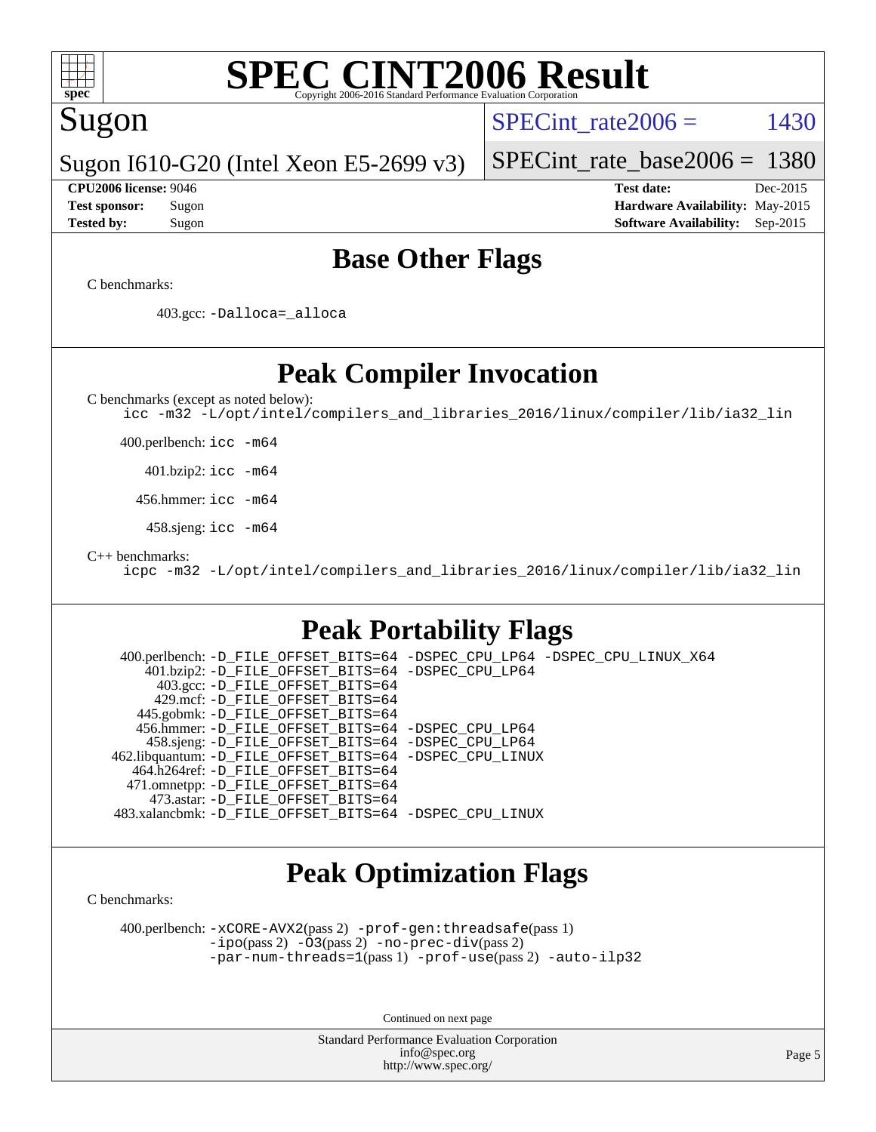

### Sugon

SPECint rate  $2006 = 1430$ 

Sugon I610-G20 (Intel Xeon E5-2699 v3)

[SPECint\\_rate\\_base2006 =](http://www.spec.org/auto/cpu2006/Docs/result-fields.html#SPECintratebase2006) 1380

**[CPU2006 license:](http://www.spec.org/auto/cpu2006/Docs/result-fields.html#CPU2006license)** 9046 **[Test date:](http://www.spec.org/auto/cpu2006/Docs/result-fields.html#Testdate)** Dec-2015 **[Test sponsor:](http://www.spec.org/auto/cpu2006/Docs/result-fields.html#Testsponsor)** Sugon **[Hardware Availability:](http://www.spec.org/auto/cpu2006/Docs/result-fields.html#HardwareAvailability)** May-2015 **[Tested by:](http://www.spec.org/auto/cpu2006/Docs/result-fields.html#Testedby)** Sugon **[Software Availability:](http://www.spec.org/auto/cpu2006/Docs/result-fields.html#SoftwareAvailability)** Sep-2015

#### **[Base Other Flags](http://www.spec.org/auto/cpu2006/Docs/result-fields.html#BaseOtherFlags)**

[C benchmarks](http://www.spec.org/auto/cpu2006/Docs/result-fields.html#Cbenchmarks):

403.gcc: [-Dalloca=\\_alloca](http://www.spec.org/cpu2006/results/res2016q1/cpu2006-20160103-38543.flags.html#b403.gcc_baseEXTRA_CFLAGS_Dalloca_be3056838c12de2578596ca5467af7f3)

**[Peak Compiler Invocation](http://www.spec.org/auto/cpu2006/Docs/result-fields.html#PeakCompilerInvocation)**

[C benchmarks \(except as noted below\)](http://www.spec.org/auto/cpu2006/Docs/result-fields.html#Cbenchmarksexceptasnotedbelow):

[icc -m32 -L/opt/intel/compilers\\_and\\_libraries\\_2016/linux/compiler/lib/ia32\\_lin](http://www.spec.org/cpu2006/results/res2016q1/cpu2006-20160103-38543.flags.html#user_CCpeak_intel_icc_e10256ba5924b668798078a321b0cb3f)

400.perlbench: [icc -m64](http://www.spec.org/cpu2006/results/res2016q1/cpu2006-20160103-38543.flags.html#user_peakCCLD400_perlbench_intel_icc_64bit_bda6cc9af1fdbb0edc3795bac97ada53)

401.bzip2: [icc -m64](http://www.spec.org/cpu2006/results/res2016q1/cpu2006-20160103-38543.flags.html#user_peakCCLD401_bzip2_intel_icc_64bit_bda6cc9af1fdbb0edc3795bac97ada53)

456.hmmer: [icc -m64](http://www.spec.org/cpu2006/results/res2016q1/cpu2006-20160103-38543.flags.html#user_peakCCLD456_hmmer_intel_icc_64bit_bda6cc9af1fdbb0edc3795bac97ada53)

458.sjeng: [icc -m64](http://www.spec.org/cpu2006/results/res2016q1/cpu2006-20160103-38543.flags.html#user_peakCCLD458_sjeng_intel_icc_64bit_bda6cc9af1fdbb0edc3795bac97ada53)

[C++ benchmarks:](http://www.spec.org/auto/cpu2006/Docs/result-fields.html#CXXbenchmarks)

[icpc -m32 -L/opt/intel/compilers\\_and\\_libraries\\_2016/linux/compiler/lib/ia32\\_lin](http://www.spec.org/cpu2006/results/res2016q1/cpu2006-20160103-38543.flags.html#user_CXXpeak_intel_icpc_b4f50a394bdb4597aa5879c16bc3f5c5)

### **[Peak Portability Flags](http://www.spec.org/auto/cpu2006/Docs/result-fields.html#PeakPortabilityFlags)**

 400.perlbench: [-D\\_FILE\\_OFFSET\\_BITS=64](http://www.spec.org/cpu2006/results/res2016q1/cpu2006-20160103-38543.flags.html#user_peakPORTABILITY400_perlbench_file_offset_bits_64_438cf9856305ebd76870a2c6dc2689ab) [-DSPEC\\_CPU\\_LP64](http://www.spec.org/cpu2006/results/res2016q1/cpu2006-20160103-38543.flags.html#b400.perlbench_peakCPORTABILITY_DSPEC_CPU_LP64) [-DSPEC\\_CPU\\_LINUX\\_X64](http://www.spec.org/cpu2006/results/res2016q1/cpu2006-20160103-38543.flags.html#b400.perlbench_peakCPORTABILITY_DSPEC_CPU_LINUX_X64) 401.bzip2: [-D\\_FILE\\_OFFSET\\_BITS=64](http://www.spec.org/cpu2006/results/res2016q1/cpu2006-20160103-38543.flags.html#user_peakPORTABILITY401_bzip2_file_offset_bits_64_438cf9856305ebd76870a2c6dc2689ab) [-DSPEC\\_CPU\\_LP64](http://www.spec.org/cpu2006/results/res2016q1/cpu2006-20160103-38543.flags.html#suite_peakCPORTABILITY401_bzip2_DSPEC_CPU_LP64) 403.gcc: [-D\\_FILE\\_OFFSET\\_BITS=64](http://www.spec.org/cpu2006/results/res2016q1/cpu2006-20160103-38543.flags.html#user_peakPORTABILITY403_gcc_file_offset_bits_64_438cf9856305ebd76870a2c6dc2689ab) 429.mcf: [-D\\_FILE\\_OFFSET\\_BITS=64](http://www.spec.org/cpu2006/results/res2016q1/cpu2006-20160103-38543.flags.html#user_peakPORTABILITY429_mcf_file_offset_bits_64_438cf9856305ebd76870a2c6dc2689ab) 445.gobmk: [-D\\_FILE\\_OFFSET\\_BITS=64](http://www.spec.org/cpu2006/results/res2016q1/cpu2006-20160103-38543.flags.html#user_peakPORTABILITY445_gobmk_file_offset_bits_64_438cf9856305ebd76870a2c6dc2689ab) 456.hmmer: [-D\\_FILE\\_OFFSET\\_BITS=64](http://www.spec.org/cpu2006/results/res2016q1/cpu2006-20160103-38543.flags.html#user_peakPORTABILITY456_hmmer_file_offset_bits_64_438cf9856305ebd76870a2c6dc2689ab) [-DSPEC\\_CPU\\_LP64](http://www.spec.org/cpu2006/results/res2016q1/cpu2006-20160103-38543.flags.html#suite_peakCPORTABILITY456_hmmer_DSPEC_CPU_LP64) 458.sjeng: [-D\\_FILE\\_OFFSET\\_BITS=64](http://www.spec.org/cpu2006/results/res2016q1/cpu2006-20160103-38543.flags.html#user_peakPORTABILITY458_sjeng_file_offset_bits_64_438cf9856305ebd76870a2c6dc2689ab) [-DSPEC\\_CPU\\_LP64](http://www.spec.org/cpu2006/results/res2016q1/cpu2006-20160103-38543.flags.html#suite_peakCPORTABILITY458_sjeng_DSPEC_CPU_LP64) 462.libquantum: [-D\\_FILE\\_OFFSET\\_BITS=64](http://www.spec.org/cpu2006/results/res2016q1/cpu2006-20160103-38543.flags.html#user_peakPORTABILITY462_libquantum_file_offset_bits_64_438cf9856305ebd76870a2c6dc2689ab) [-DSPEC\\_CPU\\_LINUX](http://www.spec.org/cpu2006/results/res2016q1/cpu2006-20160103-38543.flags.html#b462.libquantum_peakCPORTABILITY_DSPEC_CPU_LINUX) 464.h264ref: [-D\\_FILE\\_OFFSET\\_BITS=64](http://www.spec.org/cpu2006/results/res2016q1/cpu2006-20160103-38543.flags.html#user_peakPORTABILITY464_h264ref_file_offset_bits_64_438cf9856305ebd76870a2c6dc2689ab) 471.omnetpp: [-D\\_FILE\\_OFFSET\\_BITS=64](http://www.spec.org/cpu2006/results/res2016q1/cpu2006-20160103-38543.flags.html#user_peakPORTABILITY471_omnetpp_file_offset_bits_64_438cf9856305ebd76870a2c6dc2689ab) 473.astar: [-D\\_FILE\\_OFFSET\\_BITS=64](http://www.spec.org/cpu2006/results/res2016q1/cpu2006-20160103-38543.flags.html#user_peakPORTABILITY473_astar_file_offset_bits_64_438cf9856305ebd76870a2c6dc2689ab) 483.xalancbmk: [-D\\_FILE\\_OFFSET\\_BITS=64](http://www.spec.org/cpu2006/results/res2016q1/cpu2006-20160103-38543.flags.html#user_peakPORTABILITY483_xalancbmk_file_offset_bits_64_438cf9856305ebd76870a2c6dc2689ab) [-DSPEC\\_CPU\\_LINUX](http://www.spec.org/cpu2006/results/res2016q1/cpu2006-20160103-38543.flags.html#b483.xalancbmk_peakCXXPORTABILITY_DSPEC_CPU_LINUX)

### **[Peak Optimization Flags](http://www.spec.org/auto/cpu2006/Docs/result-fields.html#PeakOptimizationFlags)**

[C benchmarks](http://www.spec.org/auto/cpu2006/Docs/result-fields.html#Cbenchmarks):

 400.perlbench: [-xCORE-AVX2](http://www.spec.org/cpu2006/results/res2016q1/cpu2006-20160103-38543.flags.html#user_peakPASS2_CFLAGSPASS2_LDCFLAGS400_perlbench_f-xAVX2_5f5fc0cbe2c9f62c816d3e45806c70d7)(pass 2) [-prof-gen:threadsafe](http://www.spec.org/cpu2006/results/res2016q1/cpu2006-20160103-38543.flags.html#user_peakPASS1_CFLAGSPASS1_LDCFLAGS400_perlbench_prof_gen_21a26eb79f378b550acd7bec9fe4467a)(pass 1) [-ipo](http://www.spec.org/cpu2006/results/res2016q1/cpu2006-20160103-38543.flags.html#user_peakPASS2_CFLAGSPASS2_LDCFLAGS400_perlbench_f-ipo)(pass 2) [-O3](http://www.spec.org/cpu2006/results/res2016q1/cpu2006-20160103-38543.flags.html#user_peakPASS2_CFLAGSPASS2_LDCFLAGS400_perlbench_f-O3)(pass 2) [-no-prec-div](http://www.spec.org/cpu2006/results/res2016q1/cpu2006-20160103-38543.flags.html#user_peakPASS2_CFLAGSPASS2_LDCFLAGS400_perlbench_f-no-prec-div)(pass 2) [-par-num-threads=1](http://www.spec.org/cpu2006/results/res2016q1/cpu2006-20160103-38543.flags.html#user_peakPASS1_CFLAGSPASS1_LDCFLAGS400_perlbench_par_num_threads_786a6ff141b4e9e90432e998842df6c2)(pass 1) [-prof-use](http://www.spec.org/cpu2006/results/res2016q1/cpu2006-20160103-38543.flags.html#user_peakPASS2_CFLAGSPASS2_LDCFLAGS400_perlbench_prof_use_bccf7792157ff70d64e32fe3e1250b55)(pass 2) [-auto-ilp32](http://www.spec.org/cpu2006/results/res2016q1/cpu2006-20160103-38543.flags.html#user_peakCOPTIMIZE400_perlbench_f-auto-ilp32)

Continued on next page

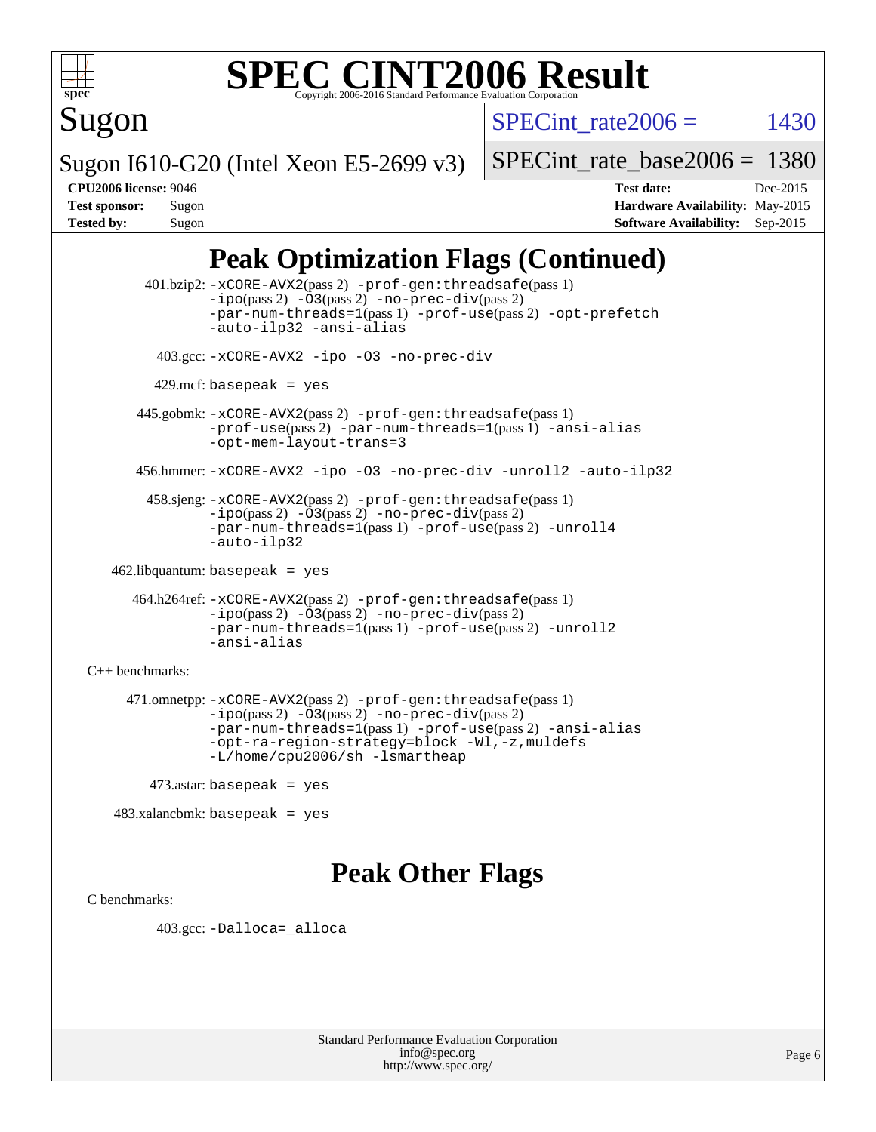

## Sugon

SPECint rate  $2006 = 1430$ 

Sugon I610-G20 (Intel Xeon E5-2699 v3)

[SPECint\\_rate\\_base2006 =](http://www.spec.org/auto/cpu2006/Docs/result-fields.html#SPECintratebase2006) 1380

**[CPU2006 license:](http://www.spec.org/auto/cpu2006/Docs/result-fields.html#CPU2006license)** 9046 **[Test date:](http://www.spec.org/auto/cpu2006/Docs/result-fields.html#Testdate)** Dec-2015 **[Test sponsor:](http://www.spec.org/auto/cpu2006/Docs/result-fields.html#Testsponsor)** Sugon **[Hardware Availability:](http://www.spec.org/auto/cpu2006/Docs/result-fields.html#HardwareAvailability)** May-2015 **[Tested by:](http://www.spec.org/auto/cpu2006/Docs/result-fields.html#Testedby)** Sugon **[Software Availability:](http://www.spec.org/auto/cpu2006/Docs/result-fields.html#SoftwareAvailability)** Sep-2015

## **[Peak Optimization Flags \(Continued\)](http://www.spec.org/auto/cpu2006/Docs/result-fields.html#PeakOptimizationFlags)**

 401.bzip2: [-xCORE-AVX2](http://www.spec.org/cpu2006/results/res2016q1/cpu2006-20160103-38543.flags.html#user_peakPASS2_CFLAGSPASS2_LDCFLAGS401_bzip2_f-xAVX2_5f5fc0cbe2c9f62c816d3e45806c70d7)(pass 2) [-prof-gen:threadsafe](http://www.spec.org/cpu2006/results/res2016q1/cpu2006-20160103-38543.flags.html#user_peakPASS1_CFLAGSPASS1_LDCFLAGS401_bzip2_prof_gen_21a26eb79f378b550acd7bec9fe4467a)(pass 1)  $-i\text{po}(pass 2) -03(pass 2) -no-prec-div(pass 2)$  $-i\text{po}(pass 2) -03(pass 2) -no-prec-div(pass 2)$  $-i\text{po}(pass 2) -03(pass 2) -no-prec-div(pass 2)$ [-par-num-threads=1](http://www.spec.org/cpu2006/results/res2016q1/cpu2006-20160103-38543.flags.html#user_peakPASS1_CFLAGSPASS1_LDCFLAGS401_bzip2_par_num_threads_786a6ff141b4e9e90432e998842df6c2)(pass 1) [-prof-use](http://www.spec.org/cpu2006/results/res2016q1/cpu2006-20160103-38543.flags.html#user_peakPASS2_CFLAGSPASS2_LDCFLAGS401_bzip2_prof_use_bccf7792157ff70d64e32fe3e1250b55)(pass 2) [-opt-prefetch](http://www.spec.org/cpu2006/results/res2016q1/cpu2006-20160103-38543.flags.html#user_peakCOPTIMIZE401_bzip2_f-opt-prefetch) [-auto-ilp32](http://www.spec.org/cpu2006/results/res2016q1/cpu2006-20160103-38543.flags.html#user_peakCOPTIMIZE401_bzip2_f-auto-ilp32) [-ansi-alias](http://www.spec.org/cpu2006/results/res2016q1/cpu2006-20160103-38543.flags.html#user_peakCOPTIMIZE401_bzip2_f-ansi-alias) 403.gcc: [-xCORE-AVX2](http://www.spec.org/cpu2006/results/res2016q1/cpu2006-20160103-38543.flags.html#user_peakCOPTIMIZE403_gcc_f-xAVX2_5f5fc0cbe2c9f62c816d3e45806c70d7) [-ipo](http://www.spec.org/cpu2006/results/res2016q1/cpu2006-20160103-38543.flags.html#user_peakCOPTIMIZE403_gcc_f-ipo) [-O3](http://www.spec.org/cpu2006/results/res2016q1/cpu2006-20160103-38543.flags.html#user_peakCOPTIMIZE403_gcc_f-O3) [-no-prec-div](http://www.spec.org/cpu2006/results/res2016q1/cpu2006-20160103-38543.flags.html#user_peakCOPTIMIZE403_gcc_f-no-prec-div) 429.mcf: basepeak = yes 445.gobmk: [-xCORE-AVX2](http://www.spec.org/cpu2006/results/res2016q1/cpu2006-20160103-38543.flags.html#user_peakPASS2_CFLAGSPASS2_LDCFLAGS445_gobmk_f-xAVX2_5f5fc0cbe2c9f62c816d3e45806c70d7)(pass 2) [-prof-gen:threadsafe](http://www.spec.org/cpu2006/results/res2016q1/cpu2006-20160103-38543.flags.html#user_peakPASS1_CFLAGSPASS1_LDCFLAGS445_gobmk_prof_gen_21a26eb79f378b550acd7bec9fe4467a)(pass 1) [-prof-use](http://www.spec.org/cpu2006/results/res2016q1/cpu2006-20160103-38543.flags.html#user_peakPASS2_CFLAGSPASS2_LDCFLAGS445_gobmk_prof_use_bccf7792157ff70d64e32fe3e1250b55)(pass 2) [-par-num-threads=1](http://www.spec.org/cpu2006/results/res2016q1/cpu2006-20160103-38543.flags.html#user_peakPASS1_CFLAGSPASS1_LDCFLAGS445_gobmk_par_num_threads_786a6ff141b4e9e90432e998842df6c2)(pass 1) [-ansi-alias](http://www.spec.org/cpu2006/results/res2016q1/cpu2006-20160103-38543.flags.html#user_peakCOPTIMIZE445_gobmk_f-ansi-alias) [-opt-mem-layout-trans=3](http://www.spec.org/cpu2006/results/res2016q1/cpu2006-20160103-38543.flags.html#user_peakCOPTIMIZE445_gobmk_f-opt-mem-layout-trans_a7b82ad4bd7abf52556d4961a2ae94d5) 456.hmmer: [-xCORE-AVX2](http://www.spec.org/cpu2006/results/res2016q1/cpu2006-20160103-38543.flags.html#user_peakCOPTIMIZE456_hmmer_f-xAVX2_5f5fc0cbe2c9f62c816d3e45806c70d7) [-ipo](http://www.spec.org/cpu2006/results/res2016q1/cpu2006-20160103-38543.flags.html#user_peakCOPTIMIZE456_hmmer_f-ipo) [-O3](http://www.spec.org/cpu2006/results/res2016q1/cpu2006-20160103-38543.flags.html#user_peakCOPTIMIZE456_hmmer_f-O3) [-no-prec-div](http://www.spec.org/cpu2006/results/res2016q1/cpu2006-20160103-38543.flags.html#user_peakCOPTIMIZE456_hmmer_f-no-prec-div) [-unroll2](http://www.spec.org/cpu2006/results/res2016q1/cpu2006-20160103-38543.flags.html#user_peakCOPTIMIZE456_hmmer_f-unroll_784dae83bebfb236979b41d2422d7ec2) [-auto-ilp32](http://www.spec.org/cpu2006/results/res2016q1/cpu2006-20160103-38543.flags.html#user_peakCOPTIMIZE456_hmmer_f-auto-ilp32) 458.sjeng: [-xCORE-AVX2](http://www.spec.org/cpu2006/results/res2016q1/cpu2006-20160103-38543.flags.html#user_peakPASS2_CFLAGSPASS2_LDCFLAGS458_sjeng_f-xAVX2_5f5fc0cbe2c9f62c816d3e45806c70d7)(pass 2) [-prof-gen:threadsafe](http://www.spec.org/cpu2006/results/res2016q1/cpu2006-20160103-38543.flags.html#user_peakPASS1_CFLAGSPASS1_LDCFLAGS458_sjeng_prof_gen_21a26eb79f378b550acd7bec9fe4467a)(pass 1) [-ipo](http://www.spec.org/cpu2006/results/res2016q1/cpu2006-20160103-38543.flags.html#user_peakPASS2_CFLAGSPASS2_LDCFLAGS458_sjeng_f-ipo)(pass 2) [-O3](http://www.spec.org/cpu2006/results/res2016q1/cpu2006-20160103-38543.flags.html#user_peakPASS2_CFLAGSPASS2_LDCFLAGS458_sjeng_f-O3)(pass 2) [-no-prec-div](http://www.spec.org/cpu2006/results/res2016q1/cpu2006-20160103-38543.flags.html#user_peakPASS2_CFLAGSPASS2_LDCFLAGS458_sjeng_f-no-prec-div)(pass 2) [-par-num-threads=1](http://www.spec.org/cpu2006/results/res2016q1/cpu2006-20160103-38543.flags.html#user_peakPASS1_CFLAGSPASS1_LDCFLAGS458_sjeng_par_num_threads_786a6ff141b4e9e90432e998842df6c2)(pass 1) [-prof-use](http://www.spec.org/cpu2006/results/res2016q1/cpu2006-20160103-38543.flags.html#user_peakPASS2_CFLAGSPASS2_LDCFLAGS458_sjeng_prof_use_bccf7792157ff70d64e32fe3e1250b55)(pass 2) [-unroll4](http://www.spec.org/cpu2006/results/res2016q1/cpu2006-20160103-38543.flags.html#user_peakCOPTIMIZE458_sjeng_f-unroll_4e5e4ed65b7fd20bdcd365bec371b81f) [-auto-ilp32](http://www.spec.org/cpu2006/results/res2016q1/cpu2006-20160103-38543.flags.html#user_peakCOPTIMIZE458_sjeng_f-auto-ilp32) 462.libquantum: basepeak = yes 464.h264ref: [-xCORE-AVX2](http://www.spec.org/cpu2006/results/res2016q1/cpu2006-20160103-38543.flags.html#user_peakPASS2_CFLAGSPASS2_LDCFLAGS464_h264ref_f-xAVX2_5f5fc0cbe2c9f62c816d3e45806c70d7)(pass 2) [-prof-gen:threadsafe](http://www.spec.org/cpu2006/results/res2016q1/cpu2006-20160103-38543.flags.html#user_peakPASS1_CFLAGSPASS1_LDCFLAGS464_h264ref_prof_gen_21a26eb79f378b550acd7bec9fe4467a)(pass 1) [-ipo](http://www.spec.org/cpu2006/results/res2016q1/cpu2006-20160103-38543.flags.html#user_peakPASS2_CFLAGSPASS2_LDCFLAGS464_h264ref_f-ipo)(pass 2) [-O3](http://www.spec.org/cpu2006/results/res2016q1/cpu2006-20160103-38543.flags.html#user_peakPASS2_CFLAGSPASS2_LDCFLAGS464_h264ref_f-O3)(pass 2) [-no-prec-div](http://www.spec.org/cpu2006/results/res2016q1/cpu2006-20160103-38543.flags.html#user_peakPASS2_CFLAGSPASS2_LDCFLAGS464_h264ref_f-no-prec-div)(pass 2) [-par-num-threads=1](http://www.spec.org/cpu2006/results/res2016q1/cpu2006-20160103-38543.flags.html#user_peakPASS1_CFLAGSPASS1_LDCFLAGS464_h264ref_par_num_threads_786a6ff141b4e9e90432e998842df6c2)(pass 1) [-prof-use](http://www.spec.org/cpu2006/results/res2016q1/cpu2006-20160103-38543.flags.html#user_peakPASS2_CFLAGSPASS2_LDCFLAGS464_h264ref_prof_use_bccf7792157ff70d64e32fe3e1250b55)(pass 2) [-unroll2](http://www.spec.org/cpu2006/results/res2016q1/cpu2006-20160103-38543.flags.html#user_peakCOPTIMIZE464_h264ref_f-unroll_784dae83bebfb236979b41d2422d7ec2) [-ansi-alias](http://www.spec.org/cpu2006/results/res2016q1/cpu2006-20160103-38543.flags.html#user_peakCOPTIMIZE464_h264ref_f-ansi-alias) [C++ benchmarks:](http://www.spec.org/auto/cpu2006/Docs/result-fields.html#CXXbenchmarks) 471.omnetpp: [-xCORE-AVX2](http://www.spec.org/cpu2006/results/res2016q1/cpu2006-20160103-38543.flags.html#user_peakPASS2_CXXFLAGSPASS2_LDCXXFLAGS471_omnetpp_f-xAVX2_5f5fc0cbe2c9f62c816d3e45806c70d7)(pass 2) [-prof-gen:threadsafe](http://www.spec.org/cpu2006/results/res2016q1/cpu2006-20160103-38543.flags.html#user_peakPASS1_CXXFLAGSPASS1_LDCXXFLAGS471_omnetpp_prof_gen_21a26eb79f378b550acd7bec9fe4467a)(pass 1)  $-ipo(pass 2) -\overline{03(pass 2)}$  $-ipo(pass 2) -\overline{03(pass 2)}$  [-no-prec-div](http://www.spec.org/cpu2006/results/res2016q1/cpu2006-20160103-38543.flags.html#user_peakPASS2_CXXFLAGSPASS2_LDCXXFLAGS471_omnetpp_f-no-prec-div)(pass 2) [-par-num-threads=1](http://www.spec.org/cpu2006/results/res2016q1/cpu2006-20160103-38543.flags.html#user_peakPASS1_CXXFLAGSPASS1_LDCXXFLAGS471_omnetpp_par_num_threads_786a6ff141b4e9e90432e998842df6c2)(pass 1) [-prof-use](http://www.spec.org/cpu2006/results/res2016q1/cpu2006-20160103-38543.flags.html#user_peakPASS2_CXXFLAGSPASS2_LDCXXFLAGS471_omnetpp_prof_use_bccf7792157ff70d64e32fe3e1250b55)(pass 2) [-ansi-alias](http://www.spec.org/cpu2006/results/res2016q1/cpu2006-20160103-38543.flags.html#user_peakCXXOPTIMIZE471_omnetpp_f-ansi-alias) [-opt-ra-region-strategy=block](http://www.spec.org/cpu2006/results/res2016q1/cpu2006-20160103-38543.flags.html#user_peakCXXOPTIMIZE471_omnetpp_f-opt-ra-region-strategy_a0a37c372d03933b2a18d4af463c1f69) [-Wl,-z,muldefs](http://www.spec.org/cpu2006/results/res2016q1/cpu2006-20160103-38543.flags.html#user_peakEXTRA_LDFLAGS471_omnetpp_link_force_multiple1_74079c344b956b9658436fd1b6dd3a8a) [-L/home/cpu2006/sh -lsmartheap](http://www.spec.org/cpu2006/results/res2016q1/cpu2006-20160103-38543.flags.html#user_peakEXTRA_LIBS471_omnetpp_SmartHeap_da54f03068332aaabff8ceee045f6cd0) 473.astar: basepeak = yes

483.xalancbmk: basepeak = yes

### **[Peak Other Flags](http://www.spec.org/auto/cpu2006/Docs/result-fields.html#PeakOtherFlags)**

[C benchmarks](http://www.spec.org/auto/cpu2006/Docs/result-fields.html#Cbenchmarks):

403.gcc: [-Dalloca=\\_alloca](http://www.spec.org/cpu2006/results/res2016q1/cpu2006-20160103-38543.flags.html#b403.gcc_peakEXTRA_CFLAGS_Dalloca_be3056838c12de2578596ca5467af7f3)